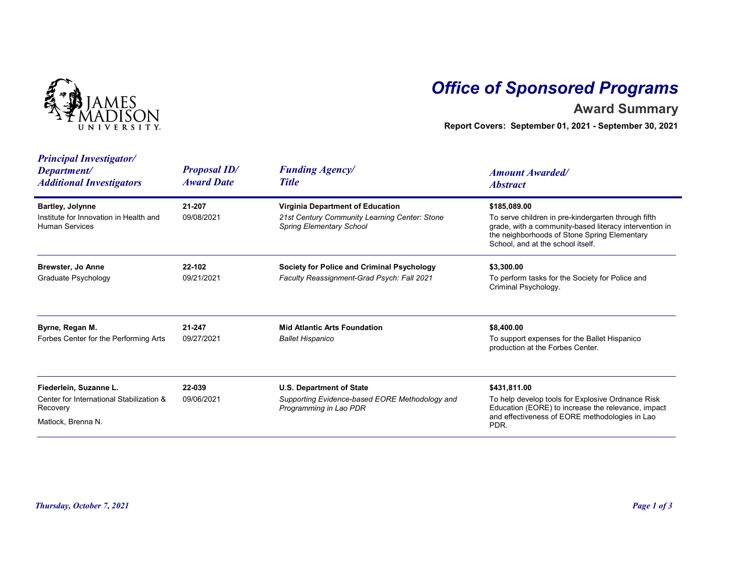

## Office of Sponsored Programs

## Award Summary

| <b>Principal Investigator/</b><br><b>Proposal ID/</b><br><b>Funding Agency/</b><br>Department/<br><b>Amount Awarded/</b><br><b>Award Date</b><br><b>Title</b><br><b>Additional Investigators</b><br><b>Abstract</b><br>Virginia Department of Education<br>\$185,089.00<br><b>Bartley, Jolynne</b><br>21-207<br>To serve children in pre-kindergarten through fifth<br>Institute for Innovation in Health and<br>09/08/2021<br>21st Century Community Learning Center: Stone<br>grade, with a community-based literacy intervention in<br><b>Human Services</b><br><b>Spring Elementary School</b><br>the neighborhoods of Stone Spring Elementary<br>School, and at the school itself.<br>Brewster, Jo Anne<br>22-102<br><b>Society for Police and Criminal Psychology</b><br>\$3,300.00<br>To perform tasks for the Society for Police and<br><b>Graduate Psychology</b><br>09/21/2021<br>Faculty Reassignment-Grad Psych: Fall 2021<br>Criminal Psychology.<br>21-247<br><b>Mid Atlantic Arts Foundation</b> |
|-----------------------------------------------------------------------------------------------------------------------------------------------------------------------------------------------------------------------------------------------------------------------------------------------------------------------------------------------------------------------------------------------------------------------------------------------------------------------------------------------------------------------------------------------------------------------------------------------------------------------------------------------------------------------------------------------------------------------------------------------------------------------------------------------------------------------------------------------------------------------------------------------------------------------------------------------------------------------------------------------------------------|
|                                                                                                                                                                                                                                                                                                                                                                                                                                                                                                                                                                                                                                                                                                                                                                                                                                                                                                                                                                                                                 |
|                                                                                                                                                                                                                                                                                                                                                                                                                                                                                                                                                                                                                                                                                                                                                                                                                                                                                                                                                                                                                 |
|                                                                                                                                                                                                                                                                                                                                                                                                                                                                                                                                                                                                                                                                                                                                                                                                                                                                                                                                                                                                                 |
| \$8,400.00<br>Byrne, Regan M.<br>To support expenses for the Ballet Hispanico<br>Forbes Center for the Performing Arts<br>09/27/2021<br><b>Ballet Hispanico</b><br>production at the Forbes Center.                                                                                                                                                                                                                                                                                                                                                                                                                                                                                                                                                                                                                                                                                                                                                                                                             |
| 22-039<br><b>U.S. Department of State</b><br>\$431,811.00<br>Fiederlein, Suzanne L.<br>To help develop tools for Explosive Ordnance Risk<br>Center for International Stabilization &<br>09/06/2021<br>Supporting Evidence-based EORE Methodology and<br>Education (EORE) to increase the relevance, impact<br>Programming in Lao PDR<br>Recovery<br>and effectiveness of EORE methodologies in Lao<br>Matlock, Brenna N.<br>PDR.                                                                                                                                                                                                                                                                                                                                                                                                                                                                                                                                                                                |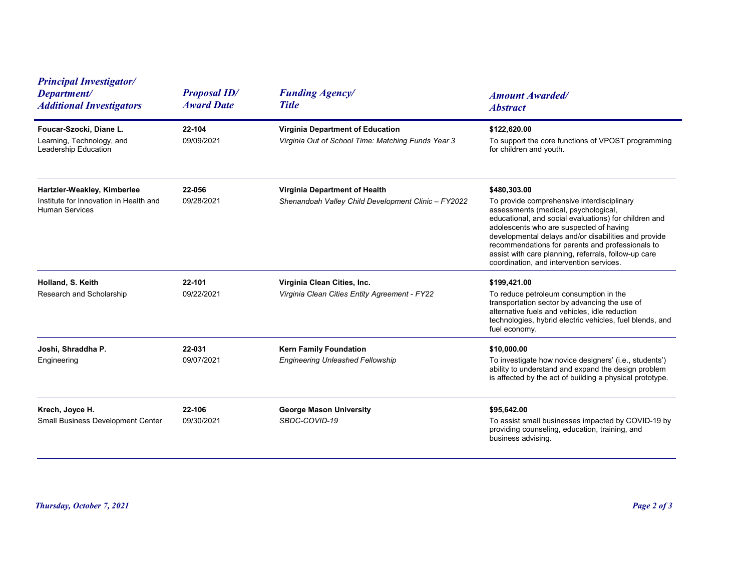| <b>Principal Investigator/</b><br>Department/<br><b>Additional Investigators</b>               | <b>Proposal ID/</b><br><b>Award Date</b> | <b>Funding Agency/</b><br><b>Title</b>                                                 | <b>Amount Awarded/</b><br><b>Abstract</b>                                                                                                                                                                                                                                                                                                                                                                              |  |
|------------------------------------------------------------------------------------------------|------------------------------------------|----------------------------------------------------------------------------------------|------------------------------------------------------------------------------------------------------------------------------------------------------------------------------------------------------------------------------------------------------------------------------------------------------------------------------------------------------------------------------------------------------------------------|--|
| Foucar-Szocki, Diane L.<br>Learning, Technology, and<br>Leadership Education                   | 22-104<br>09/09/2021                     | Virginia Department of Education<br>Virginia Out of School Time: Matching Funds Year 3 | \$122,620.00<br>To support the core functions of VPOST programming<br>for children and youth.                                                                                                                                                                                                                                                                                                                          |  |
| Hartzler-Weakley, Kimberlee<br>Institute for Innovation in Health and<br><b>Human Services</b> | 22-056<br>09/28/2021                     | Virginia Department of Health<br>Shenandoah Valley Child Development Clinic - FY2022   | \$480,303.00<br>To provide comprehensive interdisciplinary<br>assessments (medical, psychological,<br>educational, and social evaluations) for children and<br>adolescents who are suspected of having<br>developmental delays and/or disabilities and provide<br>recommendations for parents and professionals to<br>assist with care planning, referrals, follow-up care<br>coordination, and intervention services. |  |
| Holland, S. Keith<br>Research and Scholarship                                                  | 22-101<br>09/22/2021                     | Virginia Clean Cities, Inc.<br>Virginia Clean Cities Entity Agreement - FY22           | \$199,421.00<br>To reduce petroleum consumption in the<br>transportation sector by advancing the use of<br>alternative fuels and vehicles, idle reduction<br>technologies, hybrid electric vehicles, fuel blends, and<br>fuel economy.                                                                                                                                                                                 |  |
| Joshi, Shraddha P.<br>Engineering                                                              | 22-031<br>09/07/2021                     | <b>Kern Family Foundation</b><br><b>Engineering Unleashed Fellowship</b>               | \$10,000.00<br>To investigate how novice designers' (i.e., students')<br>ability to understand and expand the design problem<br>is affected by the act of building a physical prototype.                                                                                                                                                                                                                               |  |
| Krech, Joyce H.<br>Small Business Development Center                                           | 22-106<br>09/30/2021                     | <b>George Mason University</b><br>SBDC-COVID-19                                        | \$95,642.00<br>To assist small businesses impacted by COVID-19 by<br>providing counseling, education, training, and<br>business advising.                                                                                                                                                                                                                                                                              |  |
| Thursday, October 7, 2021                                                                      |                                          |                                                                                        | Page 2 of 3                                                                                                                                                                                                                                                                                                                                                                                                            |  |